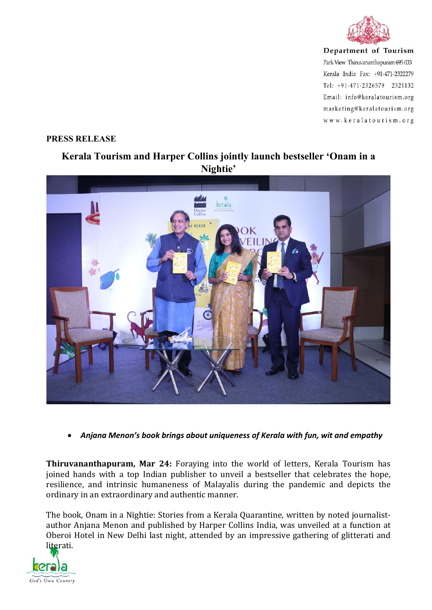

Department of Tourism Park View Thiruvananthapuram 695 033 Kerala India Fax: +91-471-2322279 Tel: +91-471-2326579 2321132 Email: info@keralatourism.org marketing@keralatourism.org www.keralatourism.org

## **PRESS RELEASE**

## **Kerala Tourism and Harper Collins jointly launch bestseller 'Onam in a Nightie'**



*Anjana Menon's book brings about uniqueness of Kerala with fun, wit and empathy*

**Thiruvananthapuram, Mar 24:** Foraying into the world of letters, Kerala Tourism has joined hands with a top Indian publisher to unveil a bestseller that celebrates the hope, resilience, and intrinsic humaneness of Malayalis during the pandemic and depicts the ordinary in an extraordinary and authentic manner.

The book, Onam in a Nightie: Stories from a Kerala Quarantine, written by noted journalist author Anjana Menon and published by Harper Collins India, was unveiled at a function at Oberoi Hotel in New Delhi last night, attended by an impressive gathering of glitterati and literati.

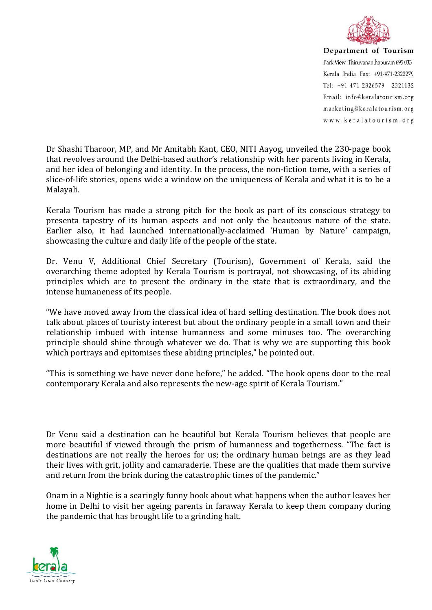

Department of Tourism Park View Thiruvananthapuram 695 033 Kerala India Fax: +91-471-2322279 Tel: +91-471-2326579 2321132 Email: info@keralatourism.org marketing@keralatourism.org www.keralatourism.org

Dr Shashi Tharoor, MP, and Mr Amitabh Kant, CEO, NITI Aayog, unveiled the 230-page book that revolves around the Delhi-based author's relationship with her parents living in Kerala, and her idea of belonging and identity. In the process, the non-fiction tome, with a series of slice-of-life stories, opens wide a window on the uniqueness of Kerala and what it is to be a Malayali.

Kerala Tourism has made a strong pitch for the book as part of its conscious strategy to presenta tapestry of its human aspects and not only the beauteous nature of the state. Earlier also, it had launched internationally-acclaimed 'Human by Nature' campaign, showcasing the culture and daily life of the people of the state.

Dr. Venu V, Additional Chief Secretary (Tourism), Government of Kerala, said the overarching theme adopted by Kerala Tourism is portrayal, not showcasing, of its abiding principles which are to present the ordinary in the state that is extraordinary, and the intense humaneness of its people.

"We have moved away from the classical idea of hard selling destination. The book does not talk about places of touristy interest but about the ordinary people in a small town and their relationship imbued with intense humanness and some minuses too. The overarching principle should shine through whatever we do. That is why we are supporting this book which portrays and epitomises these abiding principles," he pointed out.

"This is something we have never done before," he added. "The book opens door to the real contemporary Kerala and also represents the new-age spirit of Kerala Tourism."

Dr Venu said a destination can be beautiful but Kerala Tourism believes that people are more beautiful if viewed through the prism of humanness and togetherness. "The fact is destinations are not really the heroes for us; the ordinary human beings are as they lead their lives with grit, jollity and camaraderie. These are the qualities that made them survive and return from the brink during the catastrophic times of the pandemic."

Onam in a Nightie is a searingly funny book about what happens when the author leaves her home in Delhi to visit her ageing parents in faraway Kerala to keep them company during the pandemic that has brought life to a grinding halt.